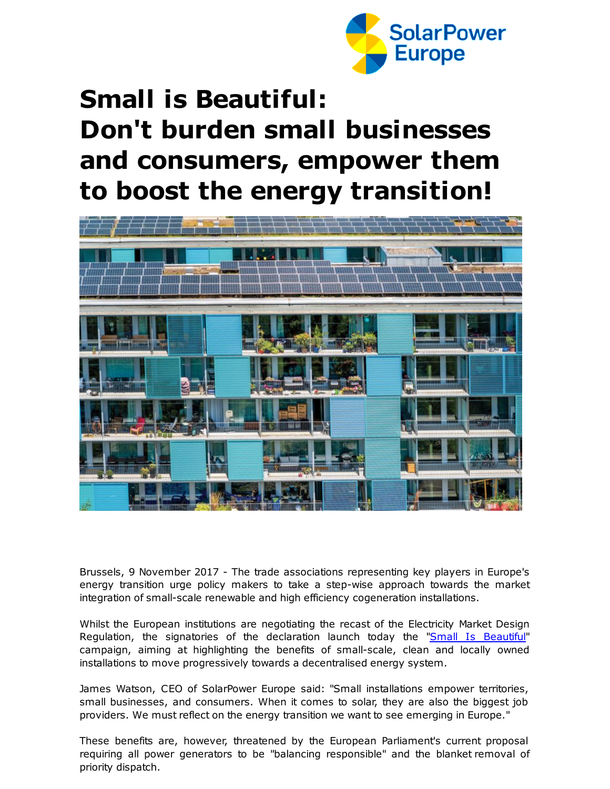

## **Small is Beautiful: Don't burden small businesses and consumers, empower them to boost the energy transition!**



Brussels, 9 November 2017 - The trade associations representing key players in Europe's energy transition urge policy makers to take a step-wise approach towards the market integration of small-scale renewable and high efficiency cogeneration installations.

Whilst the European institutions are negotiating the recast of the Electricity Market Design Regulation, the signatories of the declaration launch today the "Small Is [Beautiful](http://r20.rs6.net/tn.jsp?f=001nsSsDMEhOO-naPZ2pGBgJvkpVmgUTG7zt88oPubH7R0MikomB2oy8CbVKP71Wr8grN_F3pjmGSVLrba_wfT6gqpguJF5zG6v_zKQCePL-7q9TQsJbl5Dws09x87OR7jm8VXx5wP9IsPOwVzGKNsWri34gsqJ9lY_6R1ME02RauVagTR2A9IUNPt87FwfiLfbg-lzvdLebIEgP1cMANuD6e45xdR6-Bkn&c=&ch=)" campaign, aiming at highlighting the benefits of small-scale, clean and locally owned installations to move progressively towards a decentralised energy system.

James Watson, CEO of SolarPower Europe said: "Small installations empower territories, small businesses, and consumers. When it comes to solar, they are also the biggest job providers. We must reflect on the energy transition we want to see emerging in Europe."

These benefits are, however, threatened by the European Parliament's current proposal requiring all power generators to be "balancing responsible" and the blanket removal of priority dispatch.